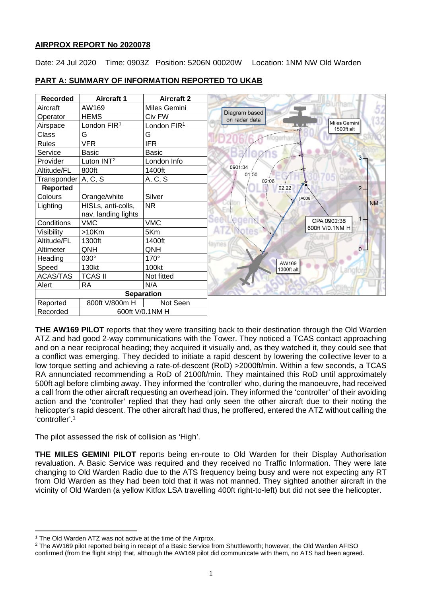## **AIRPROX REPORT No 2020078**

Date: 24 Jul 2020 Time: 0903Z Position: 5206N 00020W Location: 1NM NW Old Warden



# **PART A: SUMMARY OF INFORMATION REPORTED TO UKAB**

**THE AW169 PILOT** reports that they were transiting back to their destination through the Old Warden ATZ and had good 2-way communications with the Tower. They noticed a TCAS contact approaching and on a near reciprocal heading; they acquired it visually and, as they watched it, they could see that a conflict was emerging. They decided to initiate a rapid descent by lowering the collective lever to a low torque setting and achieving a rate-of-descent (RoD) >2000ft/min. Within a few seconds, a TCAS RA annunciated recommending a RoD of 2100ft/min. They maintained this RoD until approximately 500ft agl before climbing away. They informed the 'controller' who, during the manoeuvre, had received a call from the other aircraft requesting an overhead join. They informed the 'controller' of their avoiding action and the 'controller' replied that they had only seen the other aircraft due to their noting the helicopter's rapid descent. The other aircraft had thus, he proffered, entered the ATZ without calling the 'controller'.1

The pilot assessed the risk of collision as 'High'.

**THE MILES GEMINI PILOT** reports being en-route to Old Warden for their Display Authorisation revaluation. A Basic Service was required and they received no Traffic Information. They were late changing to Old Warden Radio due to the ATS frequency being busy and were not expecting any RT from Old Warden as they had been told that it was not manned. They sighted another aircraft in the vicinity of Old Warden (a yellow Kitfox LSA travelling 400ft right-to-left) but did not see the helicopter.

<span id="page-0-0"></span><sup>&</sup>lt;sup>1</sup> The Old Warden ATZ was not active at the time of the Airprox.

<span id="page-0-1"></span><sup>&</sup>lt;sup>2</sup> The AW169 pilot reported being in receipt of a Basic Service from Shuttleworth; however, the Old Warden AFISO confirmed (from the flight strip) that, although the AW169 pilot did communicate with them, no ATS had been agreed.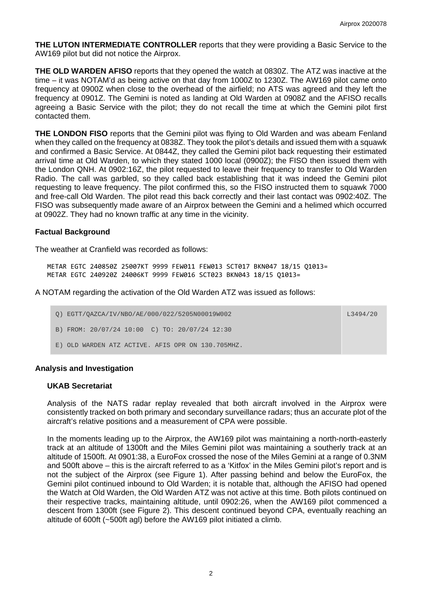**THE LUTON INTERMEDIATE CONTROLLER** reports that they were providing a Basic Service to the AW169 pilot but did not notice the Airprox.

**THE OLD WARDEN AFISO** reports that they opened the watch at 0830Z. The ATZ was inactive at the time – it was NOTAM'd as being active on that day from 1000Z to 1230Z. The AW169 pilot came onto frequency at 0900Z when close to the overhead of the airfield; no ATS was agreed and they left the frequency at 0901Z. The Gemini is noted as landing at Old Warden at 0908Z and the AFISO recalls agreeing a Basic Service with the pilot; they do not recall the time at which the Gemini pilot first contacted them.

**THE LONDON FISO** reports that the Gemini pilot was flying to Old Warden and was abeam Fenland when they called on the frequency at 0838Z. They took the pilot's details and issued them with a squawk and confirmed a Basic Service. At 0844Z, they called the Gemini pilot back requesting their estimated arrival time at Old Warden, to which they stated 1000 local (0900Z); the FISO then issued them with the London QNH. At 0902:16Z, the pilot requested to leave their frequency to transfer to Old Warden Radio. The call was garbled, so they called back establishing that it was indeed the Gemini pilot requesting to leave frequency. The pilot confirmed this, so the FISO instructed them to squawk 7000 and free-call Old Warden. The pilot read this back correctly and their last contact was 0902:40Z. The FISO was subsequently made aware of an Airprox between the Gemini and a helimed which occurred at 0902Z. They had no known traffic at any time in the vicinity.

## **Factual Background**

The weather at Cranfield was recorded as follows:

METAR EGTC 240850Z 25007KT 9999 FEW011 FEW013 SCT017 BKN047 18/15 Q1013= METAR EGTC 240920Z 24006KT 9999 FEW016 SCT023 BKN043 18/15 Q1013=

A NOTAM regarding the activation of the Old Warden ATZ was issued as follows:

| O) EGTT/OAZCA/IV/NBO/AE/000/022/5205N00019W002        | L3494/20 |
|-------------------------------------------------------|----------|
| B) FROM: 20/07/24 10:00 C) TO: 20/07/24 12:30         |          |
| OLD WARDEN ATZ ACTIVE. AFIS OPR ON 130.705MHZ.<br>E.) |          |

## **Analysis and Investigation**

## **UKAB Secretariat**

Analysis of the NATS radar replay revealed that both aircraft involved in the Airprox were consistently tracked on both primary and secondary surveillance radars; thus an accurate plot of the aircraft's relative positions and a measurement of CPA were possible.

In the moments leading up to the Airprox, the AW169 pilot was maintaining a north-north-easterly track at an altitude of 1300ft and the Miles Gemini pilot was maintaining a southerly track at an altitude of 1500ft. At 0901:38, a EuroFox crossed the nose of the Miles Gemini at a range of 0.3NM and 500ft above – this is the aircraft referred to as a 'Kitfox' in the Miles Gemini pilot's report and is not the subject of the Airprox (see Figure 1). After passing behind and below the EuroFox, the Gemini pilot continued inbound to Old Warden; it is notable that, although the AFISO had opened the Watch at Old Warden, the Old Warden ATZ was not active at this time. Both pilots continued on their respective tracks, maintaining altitude, until 0902:26, when the AW169 pilot commenced a descent from 1300ft (see Figure 2). This descent continued beyond CPA, eventually reaching an altitude of 600ft (~500ft agl) before the AW169 pilot initiated a climb.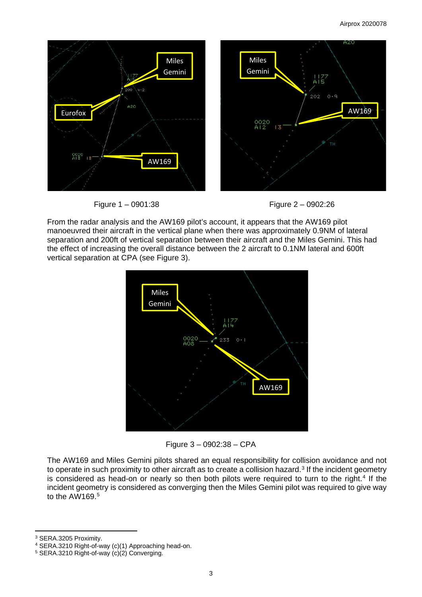

Figure 1 – 0901:38 Figure 2 – 0902:26



From the radar analysis and the AW169 pilot's account, it appears that the AW169 pilot manoeuvred their aircraft in the vertical plane when there was approximately 0.9NM of lateral separation and 200ft of vertical separation between their aircraft and the Miles Gemini. This had the effect of increasing the overall distance between the 2 aircraft to 0.1NM lateral and 600ft vertical separation at CPA (see Figure 3).



Figure 3 – 0902:38 – CPA

The AW169 and Miles Gemini pilots shared an equal responsibility for collision avoidance and not to operate in such proximity to other aircraft as to create a collision hazard.<sup>[3](#page-2-0)</sup> If the incident geometry is considered as head-on or nearly so then both pilots were required to turn to the right.<sup>[4](#page-2-1)</sup> If the incident geometry is considered as converging then the Miles Gemini pilot was required to give way to the AW169.[5](#page-2-2)

<span id="page-2-0"></span><sup>3</sup> SERA.3205 Proximity.

<span id="page-2-1"></span><sup>4</sup> SERA.3210 Right-of-way (c)(1) Approaching head-on.

<span id="page-2-2"></span><sup>5</sup> SERA.3210 Right-of-way (c)(2) Converging.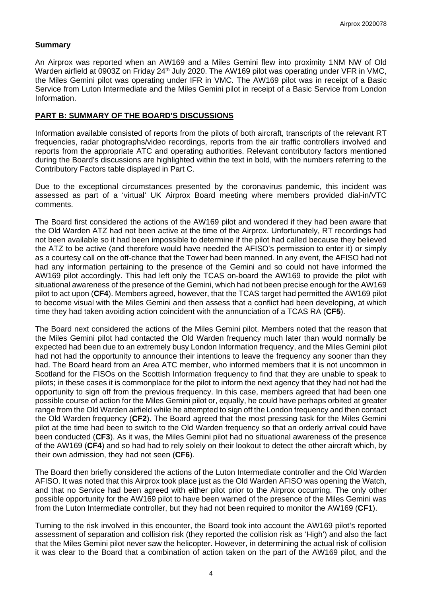## **Summary**

An Airprox was reported when an AW169 and a Miles Gemini flew into proximity 1NM NW of Old Warden airfield at 0903Z on Friday 24<sup>th</sup> July 2020. The AW169 pilot was operating under VFR in VMC, the Miles Gemini pilot was operating under IFR in VMC. The AW169 pilot was in receipt of a Basic Service from Luton Intermediate and the Miles Gemini pilot in receipt of a Basic Service from London Information.

## **PART B: SUMMARY OF THE BOARD'S DISCUSSIONS**

Information available consisted of reports from the pilots of both aircraft, transcripts of the relevant RT frequencies, radar photographs/video recordings, reports from the air traffic controllers involved and reports from the appropriate ATC and operating authorities. Relevant contributory factors mentioned during the Board's discussions are highlighted within the text in bold, with the numbers referring to the Contributory Factors table displayed in Part C.

Due to the exceptional circumstances presented by the coronavirus pandemic, this incident was assessed as part of a 'virtual' UK Airprox Board meeting where members provided dial-in/VTC comments.

The Board first considered the actions of the AW169 pilot and wondered if they had been aware that the Old Warden ATZ had not been active at the time of the Airprox. Unfortunately, RT recordings had not been available so it had been impossible to determine if the pilot had called because they believed the ATZ to be active (and therefore would have needed the AFISO's permission to enter it) or simply as a courtesy call on the off-chance that the Tower had been manned. In any event, the AFISO had not had any information pertaining to the presence of the Gemini and so could not have informed the AW169 pilot accordingly. This had left only the TCAS on-board the AW169 to provide the pilot with situational awareness of the presence of the Gemini, which had not been precise enough for the AW169 pilot to act upon (**CF4**). Members agreed, however, that the TCAS target had permitted the AW169 pilot to become visual with the Miles Gemini and then assess that a conflict had been developing, at which time they had taken avoiding action coincident with the annunciation of a TCAS RA (**CF5**).

The Board next considered the actions of the Miles Gemini pilot. Members noted that the reason that the Miles Gemini pilot had contacted the Old Warden frequency much later than would normally be expected had been due to an extremely busy London Information frequency, and the Miles Gemini pilot had not had the opportunity to announce their intentions to leave the frequency any sooner than they had. The Board heard from an Area ATC member, who informed members that it is not uncommon in Scotland for the FISOs on the Scottish Information frequency to find that they are unable to speak to pilots; in these cases it is commonplace for the pilot to inform the next agency that they had not had the opportunity to sign off from the previous frequency. In this case, members agreed that had been one possible course of action for the Miles Gemini pilot or, equally, he could have perhaps orbited at greater range from the Old Warden airfield while he attempted to sign off the London frequency and then contact the Old Warden frequency (**CF2**). The Board agreed that the most pressing task for the Miles Gemini pilot at the time had been to switch to the Old Warden frequency so that an orderly arrival could have been conducted (**CF3**). As it was, the Miles Gemini pilot had no situational awareness of the presence of the AW169 (**CF4**) and so had had to rely solely on their lookout to detect the other aircraft which, by their own admission, they had not seen (**CF6**).

The Board then briefly considered the actions of the Luton Intermediate controller and the Old Warden AFISO. It was noted that this Airprox took place just as the Old Warden AFISO was opening the Watch, and that no Service had been agreed with either pilot prior to the Airprox occurring. The only other possible opportunity for the AW169 pilot to have been warned of the presence of the Miles Gemini was from the Luton Intermediate controller, but they had not been required to monitor the AW169 (**CF1**).

Turning to the risk involved in this encounter, the Board took into account the AW169 pilot's reported assessment of separation and collision risk (they reported the collision risk as 'High') and also the fact that the Miles Gemini pilot never saw the helicopter. However, in determining the actual risk of collision it was clear to the Board that a combination of action taken on the part of the AW169 pilot, and the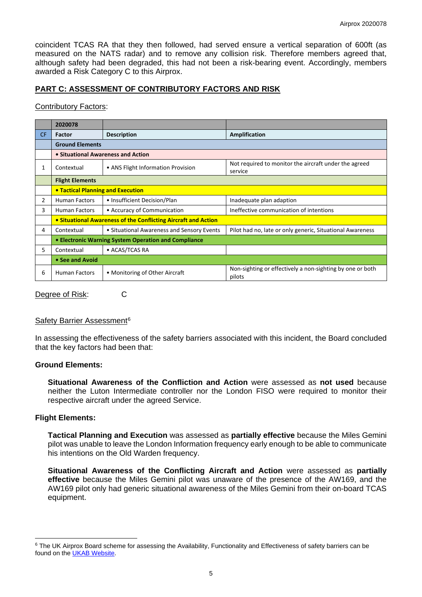coincident TCAS RA that they then followed, had served ensure a vertical separation of 600ft (as measured on the NATS radar) and to remove any collision risk. Therefore members agreed that, although safety had been degraded, this had not been a risk-bearing event. Accordingly, members awarded a Risk Category C to this Airprox.

## **PART C: ASSESSMENT OF CONTRIBUTORY FACTORS AND RISK**

## Contributory Factors:

|           | 2020078                                                        |                                            |                                                                     |
|-----------|----------------------------------------------------------------|--------------------------------------------|---------------------------------------------------------------------|
| <b>CF</b> | Factor                                                         | <b>Description</b>                         | Amplification                                                       |
|           | <b>Ground Elements</b>                                         |                                            |                                                                     |
|           | • Situational Awareness and Action                             |                                            |                                                                     |
|           | Contextual                                                     | • ANS Flight Information Provision         | Not required to monitor the aircraft under the agreed<br>service    |
|           | <b>Flight Elements</b>                                         |                                            |                                                                     |
|           | <b>• Tactical Planning and Execution</b>                       |                                            |                                                                     |
| 2         | <b>Human Factors</b>                                           | • Insufficient Decision/Plan               | Inadequate plan adaption                                            |
| 3         | <b>Human Factors</b>                                           | • Accuracy of Communication                | Ineffective communication of intentions                             |
|           | • Situational Awareness of the Conflicting Aircraft and Action |                                            |                                                                     |
| 4         | Contextual                                                     | • Situational Awareness and Sensory Events | Pilot had no, late or only generic, Situational Awareness           |
|           | • Electronic Warning System Operation and Compliance           |                                            |                                                                     |
| 5.        | Contextual                                                     | • ACAS/TCAS RA                             |                                                                     |
|           | • See and Avoid                                                |                                            |                                                                     |
| 6         | <b>Human Factors</b>                                           | • Monitoring of Other Aircraft             | Non-sighting or effectively a non-sighting by one or both<br>pilots |

Degree of Risk: C

#### Safety Barrier Assessment<sup>[6](#page-4-0)</sup>

In assessing the effectiveness of the safety barriers associated with this incident, the Board concluded that the key factors had been that:

## **Ground Elements:**

**Situational Awareness of the Confliction and Action** were assessed as **not used** because neither the Luton Intermediate controller nor the London FISO were required to monitor their respective aircraft under the agreed Service.

## **Flight Elements:**

**Tactical Planning and Execution** was assessed as **partially effective** because the Miles Gemini pilot was unable to leave the London Information frequency early enough to be able to communicate his intentions on the Old Warden frequency.

**Situational Awareness of the Conflicting Aircraft and Action** were assessed as **partially effective** because the Miles Gemini pilot was unaware of the presence of the AW169, and the AW169 pilot only had generic situational awareness of the Miles Gemini from their on-board TCAS equipment.

<span id="page-4-0"></span><sup>&</sup>lt;sup>6</sup> The UK Airprox Board scheme for assessing the Availability, Functionality and Effectiveness of safety barriers can be found on the [UKAB Website.](http://www.airproxboard.org.uk/Learn-more/Airprox-Barrier-Assessment/)